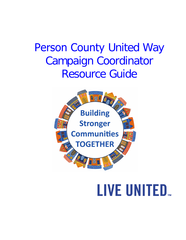# Person County United Way Campaign Coordinator Resource Guide



# LIVE UNITED...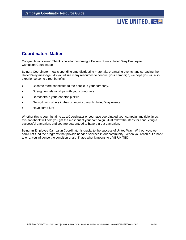# **Coordinators Matter**

Congratulations – and Thank You – for becoming a Person County United Way Employee Campaign Coordinator!

Being a Coordinator means spending time distributing materials, organizing events, and spreading the United Way message. As you utilize many resources to conduct your campaign, we hope you will also experience some direct benefits:

- Become more connected to the people in your company.
- Strengthen relationships with your co-workers.
- Demonstrate your leadership skills.
- Network with others in the community through United Way events.
- Have some fun!

Whether this is your first time as a Coordinator or you have coordinated your campaign multiple times, this handbook will help you get the most out of your campaign. Just follow the steps for conducting a successful campaign, and you are guaranteed to have a great campaign.

Being an Employee Campaign Coordinator is crucial to the success of United Way. Without you, we could not fund the programs that provide needed services in our community. When you reach out a hand to one, you influence the condition of all. That's what it means to LIVE UNITED.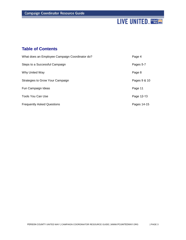# LIVE UNITED<sub>w</sub> United **Co.**

# **Table of Contents**

| What does an Employee Campaign Coordinator do? | Page 4       |
|------------------------------------------------|--------------|
| Steps to a Successful Campaign                 | Pages 5-7    |
| Why United Way                                 | Page 8       |
| Strategies to Grow Your Campaign               | Pages 9 & 10 |
| Fun Campaign Ideas                             | Page 11      |
| Tools You Can Use                              | Page 12-13   |
| <b>Frequently Asked Questions</b>              | Pages 14-15  |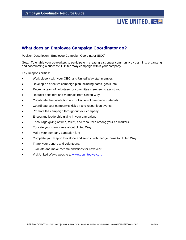# **What does an Employee Campaign Coordinator do?**

Position Description: Employee Campaign Coordinator (ECC)

Goal: To enable your co-workers to participate in creating a stronger community by planning, organizing and coordinating a successful United Way campaign within your company.

Key Responsibilities:

- Work closely with your CEO, and United Way staff member.
- Develop an effective campaign plan including dates, goals, etc.
- Recruit a team of volunteers or committee members to assist you.
- Request speakers and materials from United Way.
- Coordinate the distribution and collection of campaign materials.
- Coordinate your company's kick-off and recognition events.
- Promote the campaign throughout your company.
- Encourage leadership giving in your campaign.
- Encourage giving of time, talent, and resources among your co-workers.
- Educate your co-workers about United Way.
- Make your company campaign fun!
- Complete your Report Envelope and send it with pledge forms to United Way.
- Thank your donors and volunteers.
- Evaluate and make recommendations for next year.
- Visit United Way's website at www.[pcunitedway](http://www.uwfoxvalley.org/).org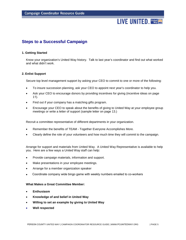# **Steps to a Successful Campaign**

## **1. Getting Started**

Know your organization's United Way history. Talk to last year's coordinator and find out what worked and what didn't work.

## **2. Enlist Support**

Secure top level management support by asking your CEO to commit to one or more of the following:

- To insure succession planning, ask your CEO to appoint next year's coordinator to help you.
- Ask your CEO to encourage donors by providing incentives for giving (incentive ideas on page 11).
- Find out if your company has a matching gifts program.
- Encourage your CEO to speak about the benefits of giving to United Way at your employee group meetings or write a letter of support (sample letter on page 13.)

Recruit a committee representative of different departments in your organization.

- Remember the benefits of TEAM Together Everyone Accomplishes More.
- Clearly define the role of your volunteers and how much time they will commit to the campaign.

Arrange for support and materials from United Way. A United Way Representative is available to help you. Here are a few ways a United Way staff can help:

- Provide campaign materials, information and support.
- Make presentations in your employee meetings.
- Arrange for a member organization speaker
- Coordinate company wide bingo game with weekly numbers emailed to co-workers

## **What Makes a Great Committee Member:**

- **Enthusiasm**
- **Knowledge of and belief in United Way**
- **Willing to set an example by giving to United Way**
- **Well respected**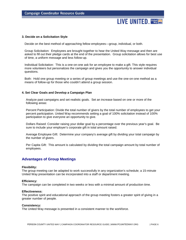### **3. Decide on a Solicitation Style**

Decide on the best method of approaching fellow employees—group, individual, or both.

Group Solicitation: Employees are brought together to hear the United Way message and then are asked to fill out their pledge cards at the end of the presentation. Group solicitation allows for best use of time, a uniform message and less follow-up.

Individual Solicitation: This is a one-on-one ask for an employee to make a gift. This style requires more volunteers but personalizes the campaign and gives you the opportunity to answer individual questions.

Both: Hold one group meeting or a series of group meetings and use the one-on-one method as a means of follow-up for those who couldn't attend a group session.

#### **4. Set Clear Goals and Develop a Campaign Plan**

Analyze past campaigns and set realistic goals. Set an increase based on one or more of the following areas:

Percent Participation: Divide the total number of givers by the total number of employees to get your percent participation. United Way recommends setting a goal of 100% solicitation instead of 100% participation to give everyone an opportunity to give.

Dollars Raised: Consider raising your dollar goal by a percentage over the previous year's goal. Be sure to include your employer's corporate gift in total amount raised.

Average Employee Gift: Determine your company's average gift by dividing your total campaign by the number of givers.

Per Capita Gift: This amount is calculated by dividing the total campaign amount by total number of employees.

# **Advantages of Group Meetings**

#### **Flexibility:**

The group meeting can be adapted to work successfully in any organization's schedule; a 15-minute United Way presentation can be incorporated into a staff or department meeting.

## **Efficiency:**

The campaign can be completed in two weeks or less with a minimal amount of production time.

#### **Effectiveness:**

The positive spirit and educational approach of the group meeting fosters a greater spirit of giving in a greater number of people.

#### **Consistency:**

The United Way message is presented in a consistent manner to the workforce.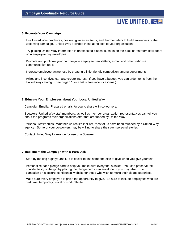## **5. Promote Your Campaign**

Use United Way brochures, posters; give away items, and thermometers to build awareness of the upcoming campaign. United Way provides these at no cost to your organization.

Try placing United Way information in unexpected places, such as on the back of restroom stall doors or in employee pay envelopes.

Promote and publicize your campaign in employee newsletters, e-mail and other in-house communication tools.

Increase employee awareness by creating a little friendly competition among departments.

Prizes and incentives can also create interest. If you have a budget, you can order items from the United Way catalog. (See page 11 for a list of free incentive ideas.)

## **6. Educate Your Employees about Your Local United Way**

Campaign Emails: Prepared emails for you to share with co-workers.

Speakers: United Way staff members, as well as member organization representatives can tell you about the programs their organizations offer that are funded by United Way.

Personal Testimonies: Whether we realize it or not, most of us have been touched by a United Way agency. Some of your co-workers may be willing to share their own personal stories.

Contact United Way to arrange for use of a Speaker.

## **7. Implement the Campaign with a 100% Ask**

Start by making a gift yourself. It is easier to ask someone else to give when you give yourself.

Personalize each pledge card to help you make sure everyone is asked. You can preserve the confidentiality of the gift by placing the pledge card in an envelope or you may also run a campaign on a secure, confidential website for those who wish to make their pledge paperless.

Make sure every employee is given the opportunity to give. Be sure to include employees who are part time, temporary, travel or work off-site.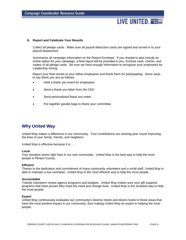#### **8. Report and Celebrate Your Results**

Collect all pledge cards. Make sure all payroll deduction cards are signed and turned in to your payroll department.

Summarize all campaign information on the Report Envelope. If you choose to also include an online option for your campaign, a final report will be provided to you. Enclose cash, checks, and copies of all pledge cards. Be sure we have enough information to recognize your employees for Leadership Giving.

Report your final results to your fellow employees and thank them for participating. Some ways to say thank you are as follows:

- Hold a thank you event for employees
- Send a thank you letter from the CEO
- Send personalized thank you notes
- Put together goodie bags to thank your committee

# **Why United Way**

United Way makes a difference in our community. Your contributions are working year round improving the lives of your family, friends, and neighbors.

United Way is effective because it is . . .

#### **Local**

Your donation works right here in our own community. United Way is the best way to help the most people in Person County.

#### **Efficient**

Thanks to the dedication and commitment of many community volunteers and a small staff, United Way is able to maintain a low overhead. United Way is the most efficient way to help the most people.

#### **Accountable**

Trained volunteers review agency programs and budgets. United Way makes sure your gift supports programs that have proven they meet the need and change lives. United Way is the smartest way to help the most people.

#### **Expert**

United Way continuously evaluates our community's diverse needs and directs funds to those areas that have the most positive impact in our community, thus making United Way an expert in helping the most people.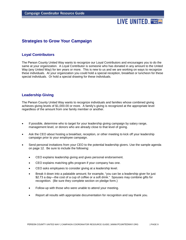# **Strategies to Grow Your Campaign**

# **Loyal Contributors**

The Person County United Way wants to recognize our Loyal Contributors and encourages you to do the same at your organization. A Loyal Contributor is someone who has donated in any amount to the United Way (any United Way) for ten years or more. This is new to us and we are working on ways to recognize these individuals. At your organization you could hold a special reception, breakfast or luncheon for these special individuals. Or hold a special drawing for these individuals.

# **Leadership Giving**

The Person County United Way wants to recognize individuals and families whose combined giving achieves giving levels of \$1,000.00 or more. A family's giving is recognized at the appropriate level regardless of the amount from one family member or another.

- If possible, determine who to target for your leadership giving campaign by salary range, management level, or donors who are already close to that level of giving.
- Ask the CEO about hosting a breakfast, reception, or other meeting to kick off your leadership campaign prior to your employee campaign.
- Send personal invitations from your CEO to the potential leadership givers. Use the sample agenda on page 12. Be sure to include the following:
	- CEO explains leadership giving and gives personal endorsement.
	- CEO explains matching gifts program if your company has one.
	- CEO asks employees to consider giving at a leadership level.
	- Break it down into a palatable amount; for example, "you can be a leadership giver for just \$2.73 a day—the cost of a cup of coffee or a soft drink." Spouses may combine gifts for recognition. (Be sure they complete section on pledge form.)
	- Follow-up with those who were unable to attend your meeting.
	- Report all results with appropriate documentation for recognition and say thank you.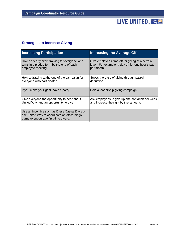# LIVE UNITED<sub>w</sub> United **Co.**

# **Strategies to Increase Giving**

| <b>Increasing Participation</b>                                                                                                       | <b>Increasing the Average Gift</b>               |
|---------------------------------------------------------------------------------------------------------------------------------------|--------------------------------------------------|
| Hold an "early bird" drawing for everyone who                                                                                         | Give employees time off for giving at a certain  |
| turns in a pledge form by the end of each                                                                                             | level. For example, a day off for one hour's pay |
| employee meeting                                                                                                                      | per month.                                       |
| Hold a drawing at the end of the campaign for                                                                                         | Stress the ease of giving through payroll        |
| everyone who participated.                                                                                                            | deduction.                                       |
| If you make your goal, have a party.                                                                                                  | Hold a leadership giving campaign.               |
| Give everyone the opportunity to hear about                                                                                           | Ask employees to give up one soft drink per week |
| United Way and an opportunity to give.                                                                                                | and increase their gift by that amount.          |
| Use an incentive such as Dress Casual Days or<br>ask United Way to coordinate an office bingo<br>game to encourage first time givers. |                                                  |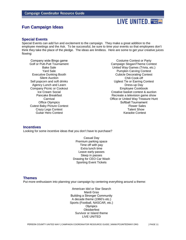# **Fun Campaign Ideas**

## **Special Events**

Special Events can add fun and excitement to the campaign. They make a great addition to the employee meetings and the Ask. To be successful, be sure to time your events so that employees don't think they take the place of the pledge. The ideas are limitless. Here are some to get your creative juices flowing:

Company wide Bingo game Golf or Putt-Putt Tournament Bake Sale Yard Sale Executive Dunking Booth Silent Auction Sell popcorn and soft drinks Agency Lunch and Learn Company Picnic or Cookout Ice Cream Social Pancake Breakfast **Carnival** Office Olympics Cutest Baby Picture Contest Crazy Legs Contest Guitar Hero Contest

Costume Contest or Party Campaign Slogan/Theme Contest United Way Games (Trivia, etc.) Pumpkin Carving Contest Cubicle Decorating Contest Chili Cook-off Ugliest Tie or Earring Contest Dress-up Day Employee Cookbook Creative basket contest & auction Recreate a television game show Office or United Way Treasure Hunt Softball Tournament Flower Sales Talent Show Karaoke Contest

# **Incentives**

Looking for some incentive ideas that you don't have to purchase?

Casual Day Premium parking space Time off with pay Extra lunch time Leave early passes Sleep in passes Drawing for CEO Car Wash Sporting Event Tickets

## **Themes**

Put more enthusiasm into planning your campaign by centering everything around a theme:

American Idol or Star Search Mardi Gras Building a Stronger Community A decade theme (1960's etc.) Sports (Football, NASCAR, etc.) **Olympics Oktoberfest** Survivor or Island theme LIVE UNITED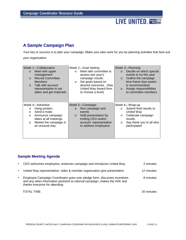# LIVE UNITED<sub>w</sub> United Co.

# **A Sample Campaign Plan**

Your key to success is to plan your campaign. Make your plan work for you by planning activities that best suit your organization.

| Week 1-Collaboration<br>Meet with upper<br>$\circ$<br>management.<br><b>Recruit Committee</b><br>$\Omega$<br><b>Members</b><br>Talk with account<br>$\Omega$<br>representative to set<br>dates and get materials | Week 2-Goal Setting<br>Meet with committee to<br>$\Omega$<br>assess last year's<br>campaign results<br>Set goals based on<br>$\circ$<br>desired outcomes. (See<br>United Way Award form<br>to choose a level) | Week 3-Planning<br>Decide on which special<br>$\circ$<br>events to try this year<br>Outline the campaign<br>$\circ$<br>time frame (two weeks<br>is recommended)<br>Assign responsibilities<br>$\circ$<br>to committee members |
|------------------------------------------------------------------------------------------------------------------------------------------------------------------------------------------------------------------|---------------------------------------------------------------------------------------------------------------------------------------------------------------------------------------------------------------|-------------------------------------------------------------------------------------------------------------------------------------------------------------------------------------------------------------------------------|
| Week 4-Advertise<br>Hang posters<br>$\circ$<br>Send e-mails<br>$\circ$<br>Announce campaign<br>$\circ$<br>dates at all meetings<br>Market the campaign in<br>$\circ$<br>an unusual way                           | Week 5-Campaign<br>Run campaign and<br>$\Omega$<br>events<br>Hold presentation by<br>$\circ$<br>inviting CEO and/or<br>account representative<br>to address employees                                         | Week 6—Wrap-up<br>Submit final results to<br>$\Omega$<br>United Way<br>Celebrate campaign<br>$\circ$<br>results<br>Say thank you to all who<br>$\circ$<br>participated                                                        |

# **Sample Meeting Agenda**

| $\bullet$ | CEO welcomes employees, endorses campaign and introduces United Way                                                                                                                       | 2 minutes  |
|-----------|-------------------------------------------------------------------------------------------------------------------------------------------------------------------------------------------|------------|
| $\bullet$ | United Way representative, video & member organization give presentation                                                                                                                  | 12 minutes |
| $\bullet$ | Employee Campaign Coordinator goes over pledge form, discusses incentives<br>and any other information pertinent to internal campaign, makes the ASK and<br>thanks everyone for attending | 6 minutes  |
|           | <b>TOTAL TIME</b>                                                                                                                                                                         | 20 minutes |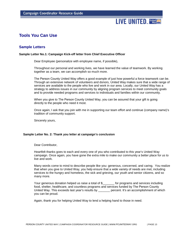# **Tools You Can Use**

# **Sample Letters**

### **Sample Letter No.1: Campaign Kick-off letter from Chief Executive Officer**

Dear Employee (personalize with employee name, if possible),

Throughout our personal and working lives, we have learned the value of teamwork. By working together as a team, we can accomplish so much more.

The Person County United Way offers a good example of just how powerful a force teamwork can be. Through an extensive network of volunteers and donors, United Way makes sure that a wide range of services are available to the people who live and work in our area. Locally, our United Way has a strategy to address issues in our community by aligning program services to meet community goals and to provide needed programs and services to individuals and families within our community.

When you give to The Person County United Way, you can be assured that your gift is going directly to the people who need it most.

Once again, I ask that you join with me in supporting our team effort and continue (company name)'s tradition of community support.

Sincerely yours,

#### **Sample Letter No. 2: Thank you letter at campaign's conclusion**

Dear Contributor,

Heartfelt thanks goes to each and every one of you who contributed to this year's United Way campaign. Once again, you have gone the extra mile to make our community a better place for us to live and work.

Many words come to mind to describe people like you: generous, concerned, and caring. You realize that when you give to United Way, you help ensure that a wide variety of needs are met, including services to the hungry and homeless, the sick and grieving, our youth and senior citizens, and so many more.

Your generous donation helped us raise a total of \$ for programs and services including food, shelter, healthcare, and countless programs and services funded by The Person County United Way. This exceeds last year's results by \_\_\_\_\_\_\_ percent. It's an accomplishment of which you can be proud.

Again, thank you for helping United Way to lend a helping hand to those in need.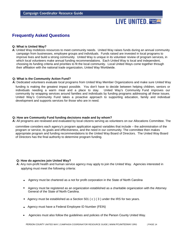# **Frequently Asked Questions**

## **Q: What is United Way?**

**A:** United Way mobilizes resources to meet community needs. United Way raises funds during an annual community campaign from businesses, employee groups and individuals. Funds raised are invested in local programs to improve lives and build a strong community. United Way is unique in its volunteer review of program services, in which local volunteers make annual funding recommendations. Each United Way is local and independent, choosing its funding criteria and priorities to fit the local community. Local United Ways come together through their affiliation with the national trade organization, United Way Worldwide.

#### **Q: What is the Community Action Fund?**

**A:** Dedicated volunteers evaluate local programs from United Way Member Organizations and make sure United Way

funding is making the greatest impact possible. You don't have to decide between helping children, seniors or<br>individuals needing a warm meal and a place to stay. United Way's Community Fund improves our individuals needing a warm meal and a place to stay. community by wrapping services around families and individuals by funding programs addressing all these issues. United Way's Community Fund takes a proactive approach to supporting education, family and individual development and supports services for those who are in need.

## **Q: How are Community Fund funding decisions made and by whom?**

**A:** All programs are reviewed and evaluated by local citizens serving as volunteers on our Allocations Committee. The

committee considers each agency's program application against variables that include – the administration of the program or service, its goals and effectiveness, and the need in our community. The committee then makes appropriate program and funding recommendations to the United Way Board of Directors. The United Way Board of Directors has the final authority to determine program funding.

## **Q: How do agencies join United Way?**

**A:** Any non-profit health and human service agency may apply to join the United Way. Agencies interested in applying must meet the following criteria:

- Agency must be chartered as a not for profit corporation in the State of North Carolina
- Agency must be registered as an organization established as a charitable organization with the Attorney General of the State of North Carolina.
- Agency must be established as a Section 501 ( $c$ ) (3) under the IRS for two years.
- Agency must have a Federal Employee ID Number (FEIN)
- Agencies must also follow the guidelines and policies of the Person County United Way.